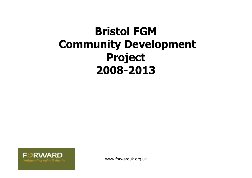#### **Bristol FGM Community Development Project 2008-2013**



www.forwarduk.org.uk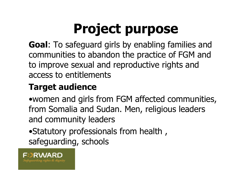# **Project purpose**

**Goal**: To safeguard girls by enabling families and communities to abandon the practice of FGM and to improve sexual and reproductive rights and access to entitlements

#### **Target audience**

•women and girls from FGM affected communities, from Somalia and Sudan. Men, religious leaders and community leaders

•Statutory professionals from health , safeguarding, schools

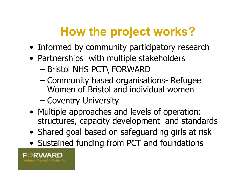## **How the project works?**

- Informed by community participatory research
- Partnerships with multiple stakeholders
	- Bristol NHS PCT\ FORWARD
	- Community based organisations- Refugee Women of Bristol and individual women
	- Coventry University
- Multiple approaches and levels of operation: structures, capacity development and standards
- Shared goal based on safeguarding girls at risk
- Sustained funding from PCT and foundations

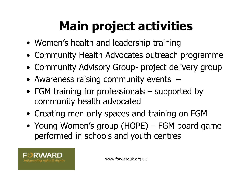## **Main project activities**

- Women's health and leadership training
- Community Health Advocates outreach programme
- Community Advisory Group- project delivery group
- Awareness raising community events –
- FGM training for professionals supported by community health advocated
- Creating men only spaces and training on FGM
- Young Women's group (HOPE) FGM board game performed in schools and youth centres

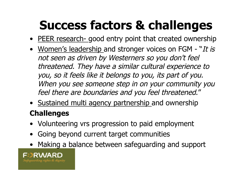## **Success factors & challenges**

- PEER research- good entry point that created ownership
- Women's leadership and stronger voices on FGM "It is not seen as driven by Westerners so you don't feel threatened. They have a similar cultural experience to you, so it feels like it belongs to you, its part of you. When you see someone step in on your community you feel there are boundaries and you feel threatened."
- Sustained multi agency partnership and ownership **Challenges**
- Volunteering vrs progression to paid employment
- Going beyond current target communities
- Making a balance between safeguarding and support

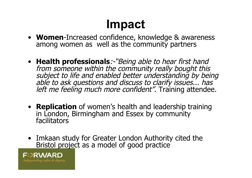## **Impact**

- **Women**-Increased confidence, knowledge & awareness among women as well as the community partners
- **Health professionals**:-"Being able to hear first hand from someone within the community really bought this subject to life and enabled better understanding by being able to ask questions and discuss to clarify issues... has left me feeling much more confident". Training attendee.
- **Replication** of women's health and leadership training in London, Birmingham and Essex by community facilitators
- Imkaan study for Greater London Authority cited the Bristol project as a model of good practice

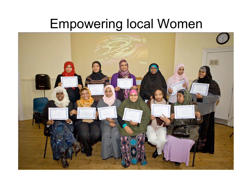#### Empowering local Women

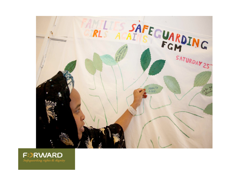